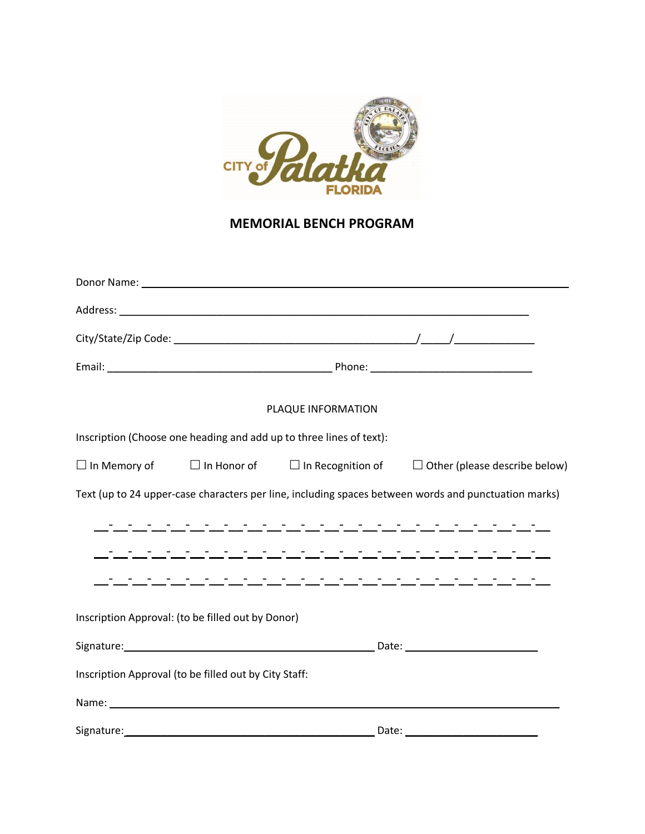

## **MEMORIAL BENCH PROGRAM**

|                                                                                                                                                                                                                                | PLAQUE INFORMATION                                                  |                                                                                                                                                                                                                                |
|--------------------------------------------------------------------------------------------------------------------------------------------------------------------------------------------------------------------------------|---------------------------------------------------------------------|--------------------------------------------------------------------------------------------------------------------------------------------------------------------------------------------------------------------------------|
|                                                                                                                                                                                                                                | Inscription (Choose one heading and add up to three lines of text): |                                                                                                                                                                                                                                |
|                                                                                                                                                                                                                                |                                                                     | $\Box$ In Memory of $\Box$ In Honor of $\Box$ In Recognition of $\Box$ Other (please describe below)                                                                                                                           |
|                                                                                                                                                                                                                                |                                                                     | Text (up to 24 upper-case characters per line, including spaces between words and punctuation marks)                                                                                                                           |
|                                                                                                                                                                                                                                |                                                                     | المعامل والمستحير والمستحير والمستحيل والمستحير والمستحير والمستحير                                                                                                                                                            |
|                                                                                                                                                                                                                                |                                                                     |                                                                                                                                                                                                                                |
|                                                                                                                                                                                                                                |                                                                     |                                                                                                                                                                                                                                |
| Inscription Approval: (to be filled out by Donor)                                                                                                                                                                              |                                                                     |                                                                                                                                                                                                                                |
|                                                                                                                                                                                                                                |                                                                     | Signature: Date: Date: Date: Date: Date: Date: Date: Date: Date: Date: Date: Date: Date: Date: Date: Date: Date: Date: Date: Date: Date: Date: Date: Date: Date: Date: Date: Date: Date: Date: Date: Date: Date: Date: Date: D |
| Inscription Approval (to be filled out by City Staff:                                                                                                                                                                          |                                                                     |                                                                                                                                                                                                                                |
| Name: We have a state of the state of the state of the state of the state of the state of the state of the state of the state of the state of the state of the state of the state of the state of the state of the state of th |                                                                     |                                                                                                                                                                                                                                |
| Signature:                                                                                                                                                                                                                     |                                                                     |                                                                                                                                                                                                                                |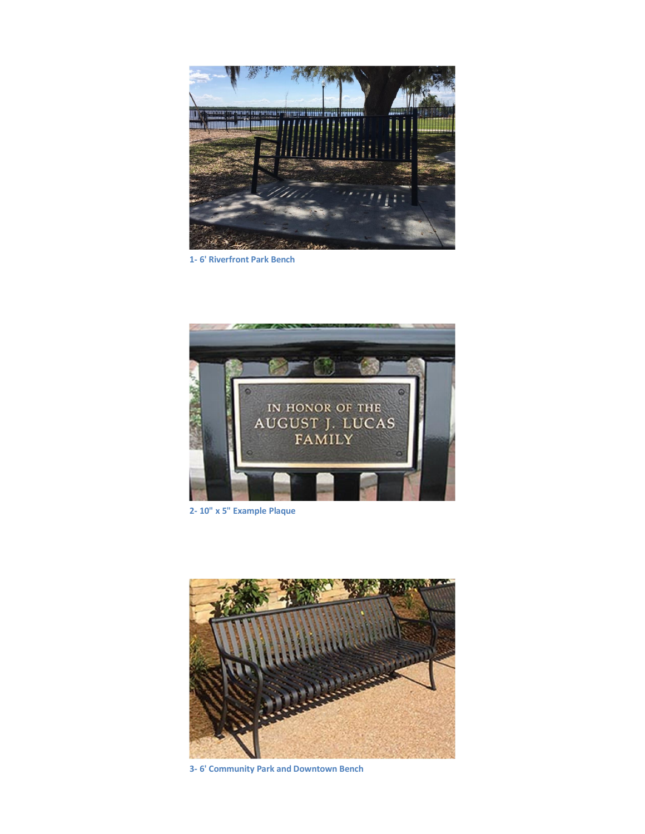

**1- 6' Riverfront Park Bench**



**2- 10" x 5" Example Plaque**



**3- 6' Community Park and Downtown Bench**